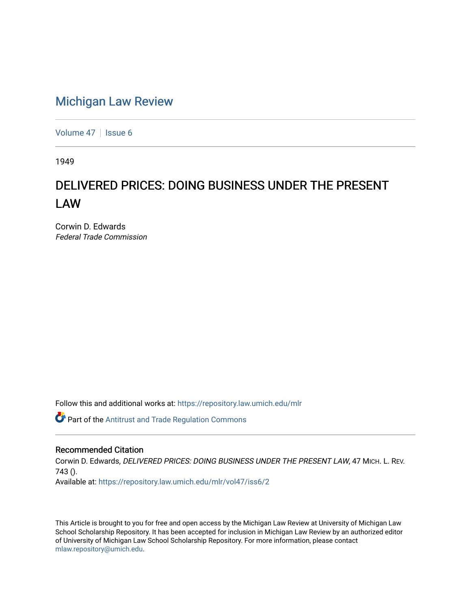# [Michigan Law Review](https://repository.law.umich.edu/mlr)

[Volume 47](https://repository.law.umich.edu/mlr/vol47) | [Issue 6](https://repository.law.umich.edu/mlr/vol47/iss6)

1949

# DELIVERED PRICES: DOING BUSINESS UNDER THE PRESENT LAW

Corwin D. Edwards Federal Trade Commission

Follow this and additional works at: [https://repository.law.umich.edu/mlr](https://repository.law.umich.edu/mlr?utm_source=repository.law.umich.edu%2Fmlr%2Fvol47%2Fiss6%2F2&utm_medium=PDF&utm_campaign=PDFCoverPages) 

Part of the [Antitrust and Trade Regulation Commons](http://network.bepress.com/hgg/discipline/911?utm_source=repository.law.umich.edu%2Fmlr%2Fvol47%2Fiss6%2F2&utm_medium=PDF&utm_campaign=PDFCoverPages) 

## Recommended Citation

Corwin D. Edwards, DELIVERED PRICES: DOING BUSINESS UNDER THE PRESENT LAW, 47 MICH. L. REV. 743 (). Available at: [https://repository.law.umich.edu/mlr/vol47/iss6/2](https://repository.law.umich.edu/mlr/vol47/iss6/2?utm_source=repository.law.umich.edu%2Fmlr%2Fvol47%2Fiss6%2F2&utm_medium=PDF&utm_campaign=PDFCoverPages)

This Article is brought to you for free and open access by the Michigan Law Review at University of Michigan Law School Scholarship Repository. It has been accepted for inclusion in Michigan Law Review by an authorized editor of University of Michigan Law School Scholarship Repository. For more information, please contact [mlaw.repository@umich.edu.](mailto:mlaw.repository@umich.edu)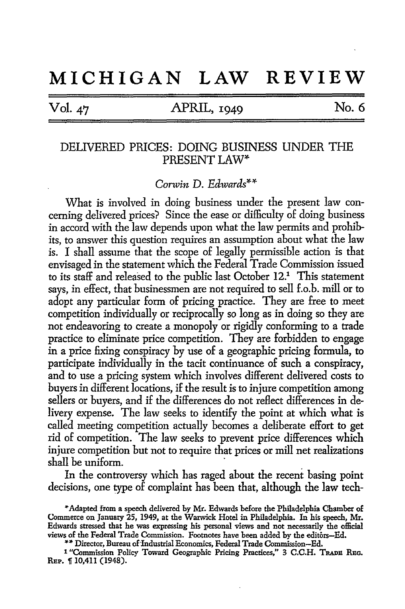# **MICHIGAN LAW REVIEW**

Vol. 47 APRIL, 1949 No. 6

## DELIVERED PRICES: DOING BUSINESS UNDER THE PRESENT LAW\*

*Corwin* D. *Edwards\*\** 

What is involved in doing business under the present law concerning delivered prices? Since the ease or difficulty of doing business in accord with the law depends upon what the law permits and prohibits, to answer this question requires an assumption about what the law is. I shall assume that the scope of legally permissible action is that envisaged in the statement which the Federal Trade Commission issued to its staff and released to the public last October 12.1 This statement says, in effect, that businessmen are not required to sell f.o.b. mill or to adopt any particular form of pricing practice. They are free to meet competition individually or reciprocally so long as in doing so they are not endeavoring to create a monopoly or rigidly conforming to a trade practice to eliminate price competition. They are forbidden to engage in a price fixing conspiracy by use of a geographic pricing formula, to participate individually in the tacit continuance of such a conspiracy, and to use a pricing system which involves different delivered costs to buyers in different locations, if the result is to injure competition among sellers or buyers, and if the differences do not reflect differences in delivery expense. The law seeks to identify the point at which what is called meeting competition actually becomes a deliberate effort to get rid of competition. The law seeks to prevent price differences which injure competition but not to require that prices or mill net realizations shall be uniform.

In the controversy which has raged about the recent basing point decisions, one type of complaint has been that, although the law tech-

\*\* Director, Bureau of Industrial Economics, Federal Trade Commission-Ed.

<sup>1</sup> "Commission Policy Toward Geographic Pricing Practices," 3 C.C.H. TRADE REG. REP. 10,411 (1948).

<sup>\*</sup>Adapted from a speech delivered by Mr. Edwards before the Philadelphia Chamber of Commerce on January 25, 1949, at the Warwick Hotel in Philadelphia. In his speech, **Mr.**  Edwards stressed that he was expressing his personal views and not necessarily the official views of the Federal Trade Commission. Footnotes have been added by the editors-Ed.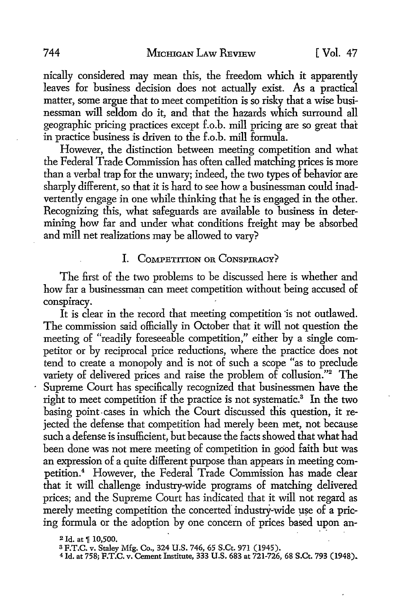nically considered may mean this, the freedom which it apparently leaves for business decision does not actually exist. As a practical matter, some argue that to meet competition is so risky that a wise businessman will seldom do it, and that the hazards which surround all geographic pricing practices except f.o.b. mill pricing are so great that in practice business is driven to the f .o.b. mill formula.

However, the distinction between meeting competition and what the Federal Trade Commission has often called matching prices is more than a verbal trap for the unwary; indeed, the two types of behavior are sharply different, so that it is hard *to* see how a businessman could inadvertently engage in one while thinking that he is engaged in the other. Recognizing this, what safeguards are available to business in determining how far and under what conditions freight may be absorbed and mill net realizations may be allowed to vary?

#### I. COMPETITION OR CONSPIRACY?

The first of the two problems to be discussed here is whether and how far a businessman can meet competition without being accused of conspiracy.

It is clear in the record that meeting competition is not outlawed. The commission said officially in October that it will not question the meeting of "readily foreseeable competition," either by a single competitor or by reciprocal price reductions, where the practice does not tend to create a monopoly and is not of such a scope "as to preclude variety of delivered prices and raise the problem of collusion."<sup>2</sup> The Supreme Court has specifically recognized that businessmen have the right to meet competition if the practice is not systematic.<sup>3</sup> In the two basing point. cases in which the Court discussed this question, it rejected the defense that competition had merely been met, not because such a defense is insufficient, but because the facts showed that what had been done was not mere meeting of competition in good faith but was an expression of a quite different purpose than appears in meeting competition.<sup>4</sup> However, the Federal Trade Commission has made clear that it will challenge industry-wide programs of matching delivered prices; and the Supreme Court has indicated that it will not regard as merely meeting competition the concerted industry-wide use of a pricing formula or the adoption by one concern of prices based upon an-

 $2$  Id. at  $\frac{6}{3}$  10,500.

s F.T.C. v. Staley Mfg. Co., 324 U.S. 746, 65 S.Ct. 971 (1945).

<sup>4</sup> Id. at 758; F.T.C. v. Cement Institute, 333 U.S. 683 at 721-726, 68 S.Ct. 793 (1948).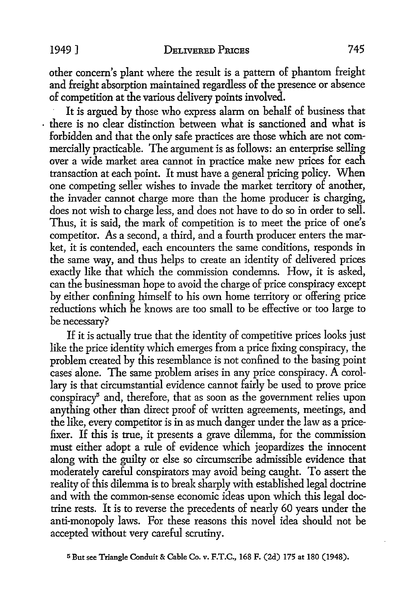other concern's plant where the result is a pattern of phantom freight and freight absorption maintained regardless of the presence or absence of competition at the various delivery points involved.

It is argued by those who express alarm on behalf of business that . there is no clear distinction between what is sanctioned and what is forbidden and that the only safe practices are those which are not commercially practicable. The argument is as follows: an enterprise selling over a wide market area cannot in practice make new prices for each transaction at each point. It must have a general pricing policy. When one competing seller wishes to invade the market territory of another, the invader cannot charge more than the home producer is charging, does not wish to charge less, and does not have to do so in order to sell. Thus, it is said, the mark of competition is to meet the price of one's competitor. As a second, a third, and a fourth producer enters the market, it is contended, each encounters the same conditions, responds in the same way, and thus helps to create an identity of delivered prices exactly like that which the commission condemns. How, it is asked, can the businessman hope to avoid the charge of price conspiracy except by either confining himself to his own home territory or offering price reductions which he knows are too small to be effective or too large to be necessary?

If it is actually true that the identity of competitive prices looks just like the price identity which emerges from a price fixing conspiracy, the problem created by this resemblance is not confined to the basing point cases alone. The same problem arises in any price conspiracy. A corollary is that circumstantial evidence cannot fairly be used to prove price conspiracy' and, therefore, that as soon as the government relies upon anything other than direct proof of written agreements, meetings, and the like, every competitor is in as much danger under the law as a pricefixer. If this is true, it presents a grave dilemma, for the commission must either adopt a rule of evidence which jeopardizes the innocent along with the guilty or else so circumscribe admissible evidence that moderately careful conspirators may avoid being caught. To assert the reality of this dilemma is to break sharply with established legal doctrine and with the common-sense economic ideas upon which this legal doctrine rests. It is to reverse the precedents of nearly 60 years under the anti-monopoly laws. For these reasons this novel idea should not be accepted without very careful scrutiny.

5 But see Triangle Conduit & Cable Co. v. F.T.C., 168 F. (2d) 175 at 180 (1948).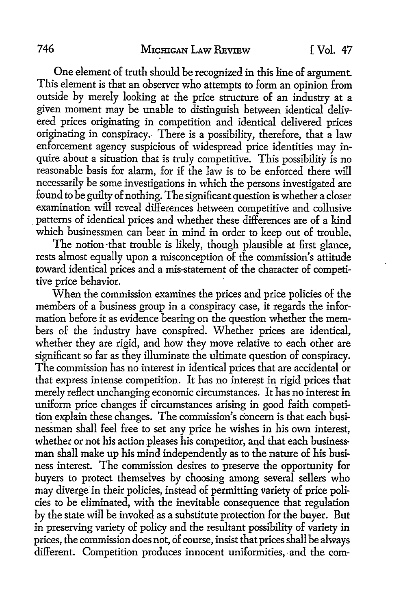One element of truth should be recognized in this line of argument. This element is that an observer who attempts to form an opinion from outside by merely looking at the price structure of an industry at a given moment may be unable to distinguish between identical delivered prices originating in competition and identical delivered prices originating in conspiracy. There is a possibility, therefore, that a law enforcement agency suspicious of widespread price identities may inquire about a situation that is truly competitive. This possibility is no reasonable basis for alarm, for if the law is to be enforced there will necessarily be some investigations in which the persons investigated are found to be guilty of nothing. The significant question is whether a closer examination will reveal differences between competitive and collusive . patterns of identical prices and whether these differences are of a kind which businessmen can bear in mind in order to keep out of trouble,

The notion-that trouble is likely, though plausible at first glance, rests almost equally upon a misconception of the commission's attitude toward identical prices and a mis-statement of the character of competitive price behavior.

When the commission examines the prices and price policies of the members of a business group in a conspiracy case, it regards the information before it as evidence bearing on the question whether the members of the industry have conspired. Whether prices are identical, whether they are rigid, and how they move relative to each other are significant so far as they illuminate the ultimate question of conspiracy. The commission has no interest in identical prices that are accidental or that express intense competition. It has no interest in rigid prices that merely reflect unchanging economic circumstances. It has no interest in uniform price changes if circumstances arising in good faith competition explain these changes. The commission's concern is that each businessman shall feel free to set any price he wishes in his own interest, whether or not his action pleases his competitor, and that each businessman shall make up his mind independently as to the nature of his business interest. The commission desires to preserve the opportunity for buyers to protect themselves by choosing among several sellers who may diverge in their policies, instead of permitting variety of price policies to be eliminated, with the inevitable consequence that regulation by the state will be invoked as a substitute protection for the buyer. But in preserving variety of policy and the resultant possibility of variety in prices, the commission does not, of course, insist that prices shall be always different. Competition produces innocent uniformities, and the com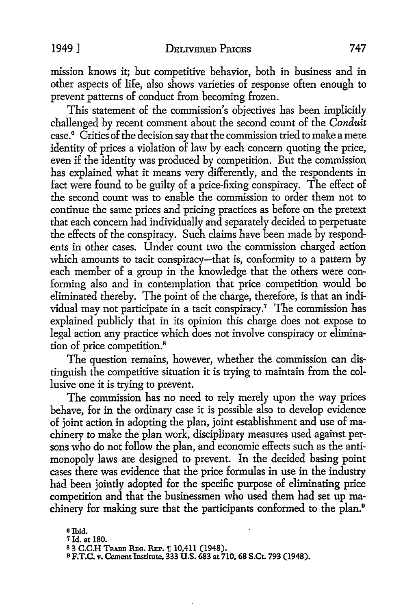mission knows it; but competitive behavior, both in business and in other aspects of life, also shows varieties of response often enough to prevent patterns of conduct from becoming frozen.

This statement of the commission's objectives has been implicitly challenged by recent comment about the second count of the *Conduit*  case. 6 Critics of the decision say that the commission tried to make a mere identity of prices a violation of law by each concern quoting the price, even if the identity was produced by competition. But the commission has explained what it means very differently, and the respondents in fact were found to be guilty of a price-fixing conspiracy. The effect of the second count was to enable the commission to order them not to continue the same prices and pricing practices as before on the pretext that each concern had individually and separately decided to perpetuate the effects of the conspiracy. Such claims have been made by respondents in other cases. Under count two the commission charged action which amounts to tacit conspiracy-that is, conformity to a pattern by each member of a group in the knowledge that the others were conforming also and in contemplation that price competition would be eliminated thereby. The point of the charge, therefore, is that an individual may not participate in a tacit conspiracy.<sup>7</sup> The commission has explained publicly that in its opinion this charge does not expose to legal action any practice which does not involve conspiracy or elimination of price competition.<sup>8</sup>

The question remains, however, whether the commission can distinguish the competitive situation it is trying to maintain from the collusive one it is trying to prevent.

The commission has no need to rely merely upon the way prices behave, for in the ordinary case it is possible also to develop evidence of joint action in adopting the plan, joint establishment and use of machinery to make the plan work, disciplinary measures used against persons who do not follow the plan, and economic effects such as the antimonopoly laws are designed to prevent. In the decided basing point cases there was evidence that the price formulas in use in the industry had been jointly adopted for the specific purpose of eliminating price competition and that the businessmen who used them had set up machinery for making sure that the participants conformed to the plan.<sup>9</sup>

<sup>6</sup>Ibid.

*<sup>1</sup>* Id. at 180.

 $^8$  3 C.C.H TRADE RBc. REP.  $\P$  10,411 (1948).  $^9$  F.T.C. v. Cement Institute, 333 U.S. 683 at 710, 68 S.Ct. 793 (1948).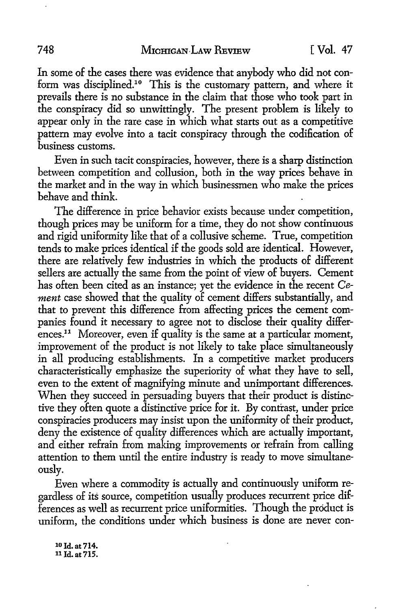In some of the cases there was evidence that anybody who did not conform was disciplined.10 This is the customary pattern, and where it prevails there is no substance in the claim that those who took part in the conspiracy did so unwittingly. The present problem is likely to appear only in the rare case in which what starts out as a competitive pattern may evolve into a tacit conspiracy through the codification of business customs.

Even in such tacit conspiracies, however, there is a sharp distinction between competition and collusion, both in the way prices behave in the market and in the way in which businessmen who make the prices behave and think.

The difference in price behavior exists because under competition, though prices may be uniform for a time, they do not show continuous and rigid uniformity like that of a collusive scheme. True, competition tends to make prices identical if the goods sold are identical. However, there are relatively few industries in which the products of different sellers are actually the same from the point of view of buyers. Cement has often been cited as an instance; yet the evidence in the recent *Cement* case showed that the quality of cement differs substantially, and that to prevent this difference from affecting prices the cement companies found it necessary to agree not to disclose their quality differences.<sup>11</sup> Moreover, even if quality is the same at a particular moment, improvement of the product is not likely to take place simultaneously in all producing establishments. In a competitive market producers characteristically emphasize the superiority of what they have to sell, even to the extent of magnifying minute and unimportant differences. When they succeed in persuading buyers that their product is distinctive they often quote a distinctive price for it. By contrast, under price conspiracies producers may insist upon the uniformity of their product, deny the existence of quality differences which are actually important, and either refrain from making improvements or refrain from calling attention to them until the entire industry is ready to move simultaneously.

Even where a commodity is actually and continuously uniform regardless of its source, competition usually produces recurrent price differences as well as recurrent price uniformities. Though the product is uniform, the conditions under which business is done are never con-

10 Id. at 714. 11 Id. at 715.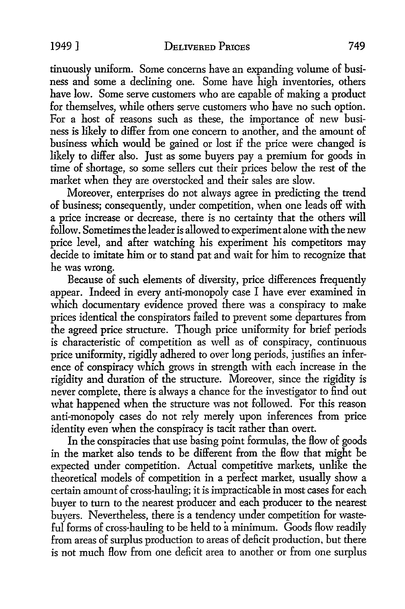tinuously uniform. Some concerns have an expanding volume of business and some a declining one. Some have high inventories, others have low. Some serve customers who are capable of making a product for themselves, while others serve customers who have no such option. For a host of reasons such as these, the importance of new business is likely to differ from one concern to another, and the amount of business which would be gained or lost if the price were changed is likely to differ also. Just as some buyers pay a premium for goods in time of shortage, so some sellers cut their prices below the rest of the market when they are overstocked and their sales are slow.

Moreover, enterprises do not always agree in predicting the trend of business; consequently, under competition, when one leads off with a price increase or decrease, there is no certainty that the others will follow. Sometimes the leader is allowed to experiment alone with the new price level, and after watching his experiment his competitors may decide to imitate him or to stand pat and wait for him to recognize that he was wrong.

Because of such elements of diversity, price differences frequently appear. Indeed in every anti-monopoly case I have ever examined in which documentary evidence proved there was a conspiracy to make prices identical the conspirators failed to prevent some departures from the agreed price structure. Though price uniformity for brief periods is characteristic of competition as well as of conspiracy, continuous price uniformity, rigidly adhered to over long periods, justifies an inference of conspiracy which grows in strength with each increase in the rigidity and duration of the structure. Moreover, since the rigidity is never complete, there is always a chance for the investigator to find out what happened when the structure was not followed. For this reason anti-monopoly cases do not rely merely upon inferences from price identity even when the conspiracy is tacit rather than overt.

In the conspiracies that use basing point formulas, the flow of goods in the market also tends to be different from the flow that might be expected under competition. Actual competitive markets, unlike the theoretical models of competition in a perfect market, usually show a certain amount of cross-hauling; it is impracticable in most cases for each buyer to tum to the nearest producer and each producer to the nearest buyers. Nevertheless, there is a tendency under competition for wasteful forms of cross-hauling to be held to a minimum. Goods flow readily from areas of surplus production to areas of deficit production, but there is not much *Bow* from one deficit area to another or from one surplus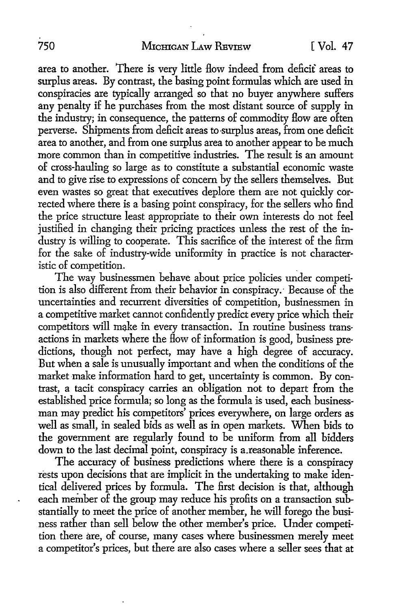area to another. There is very little How indeed from deficit areas to surplus areas. By contrast, the basing point formulas which are used in conspiracies are typically arranged so that no buyer anywhere suffers any penalty if he purchases from the most distant source of supply in the industry; in consequence, the patterns of commodity flow are often perverse. Shipments from deficit areas to surplus areas, from one deficit area to another, and from one surplus area to another appear to be much more common than in competitive industries. The result is an amount of cross-hauling so large as to constitute a substantial economic waste and to give rise to expressions of concern by the sellers themselves. But even wastes so great that executives deplore them are not quickly corrected where there is a basing point conspiracy, for the sellers who find the price structure least appropriate to their own interests do not feel justified in changing their pricing practices unless the rest of the industry is willing to cooperate. This sacrifice of the interest of the firm for the sake of industry-wide uniformity in practice is not characteristic of competition. .

The way businessmen behave about price policies under competition is also different from their behavior in conspiracy. Because of the uncertainties and recurrent diversities of competition, businessmen in a competitive market cannot confidently predict every price which their competitors will make in every transaction. In routine business transactions in markets where the How of information is good, business predictions, though not perfect, may have a high degree of accuracy. But when a sale is unusually important and when the conditions of the market make information hard to get, uncertainty is common. By contrast, a tacit conspiracy carries an obligation not to depart from the established price formula; so long as the formula is used, each businessman may predict his competitors' prices everywhere, on large orders as well as small, in sealed bids as well as in open markets. When bids to the government are regularly found to he uniform from all bidders down to the last decimal point, conspiracy is a.reasonable inference.

The accuracy of business predictions where there is a conspiracy rests upon decisions that are implicit in the undertaking to make identical delivered prices by formula. The first decision is that, although each member of the group may reduce his profits on a transaction substantially to meet the price of another member, he will forego the business rather than sell below the other member's price. Under competition there are, of course, many cases where businessmen merely meet a competitor's prices, but there are also cases where a seller sees that at

 $\ddot{\phantom{0}}$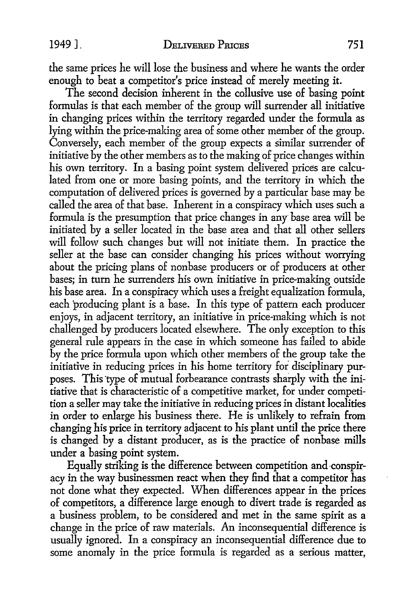the same prices he will lose the business and where he wants the order enough to beat a competitor's price instead of merely meeting it.

The second decision inherent in the collusive use of basing point formulas is that each member of the group will surrender all initiative in changing prices within the territory regarded under the formula as lying within the price-making area of some other member of the group. Conversely, each member of the group expects a similar surrender of initiative by the other members as to the making of price changes within his own territory. In a basing point system delivered prices are calculated from one or more basing points, and the territory in which the computation of delivered prices is governed by a particular base may be called the area of that base. Inherent in a conspiracy which uses such a formula is the presumption that price changes in any- base area will be initiated by a seller located in the base area and that all other sellers will follow such changes but will not initiate them. In practice the seller at the base can consider changing his prices without worrying about the pricing plans of nonbase producers or of producers at other bases; in tum he surrenders his own initiative in price-making outside his base area. In a conspiracy which uses a freight equalization formula, each producing plant is a base. In this type of pattern each producer enjoys, in adjacent territory, an initiative in price-making which is not challenged by producers located elsewhere. The only exception to this general rule appears in the case in which someone has failed to abide by the price formula upon which other members of the group take the initiative in reducing prices in his home territory for disciplinary purposes. This type of mutual forbearance contrasts sharply with the initiative that is characteristic of a competitive market, for under competition a seller may take the initiative in reducing prices in distant localities in order to enlarge his business there. He is unlikely to refrain from changing his price in territory adjacent to his plant until the price there is changed by a distant producer, as is the practice of nonbase mills under a basing point system.

Equally striking is the difference between competition and-conspiracy in the way businessmen react when they find that a competitor has not done what they expected. When differences appear in the prices of competitors, a difference large enough to divert trade is regarded as a business problem, to be considered and met in the same spirit as a change in the price of raw materials. An inconsequential difference is usually ignored. In a conspiracy an inconsequential difference due to some anomaly in the price formula is regarded as a serious matter,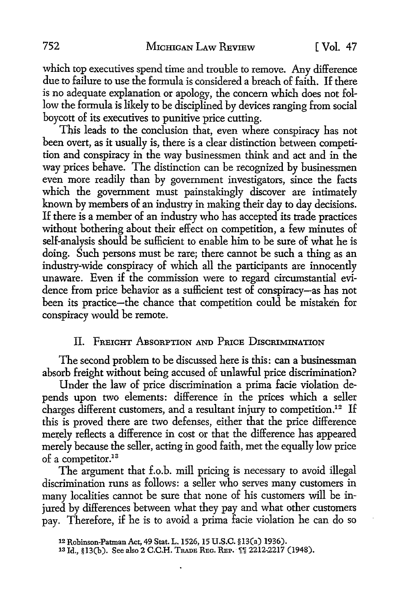which top executives spend time and trouble to remove. Any difference due to failure to use the formula is considered a breach of faith. If there is no adequate explanation or apology, the concern which does not follow the formula is likely to be disciplined by devices ranging from social boycott of its executives to punitive price cutting.

This leads to the conclusion that, even where conspiracy has not been overt, as it usually is, there is a clear distinction between competition and conspiracy in the way businessmen think and act and in the way prices behave. The distinction can be recognized by businessmen even more readily than by government investigators, since the facts which the government must painstakingly discover are intimately known by members of an industry in making their day to day decisions. If there is a member of an industry who has accepted its trade practices without bothering about their effect on competition, a few minutes of self-analysis should be sufficient to enable him to be sure of what he is doing. Such persons must be rare; there cannot be such a thing as an industry-wide conspiracy of which all the participants are innocently unaware. Even if the commission were to regard circumstantial evidence from price behavior as a sufficient test of conspiracy-as has not been its practice-the chance that competition could be mistaken for conspiracy would be remote.

## II. FREIGHT ABSORPTION AND PRICE DISCRIMINATION

The second problem to be discussed here is this: can a businessman absorb freight without being accused of unlawful price discrimination?

Under the law of price discrimination a prima facie violation depends upon two elements: difference in the prices which a seller charges different customers, and a resultant injury to competition.<sup>12</sup> If this is proved there are two defenses, either that the price difference merely reflects a difference in cost or that the difference has appeared merely because the seller, acting in good faith, met the equally low price of a competitor.<sup>13</sup>

The argument that f.o.b. mill pricing is necessary to avoid illegal discrimination runs as follows: a seller who serves many customers in many localities cannot be sure that none of his customers will be injured by differences between what they pay and what other customers pay. Therefore, if he is to avoid a prima facie violation he can do so

<sup>12</sup> Robinson-Patman Act, 49 Stat. L.1526, 15 U.S.C. §13(a) 1936).

<sup>13</sup> Id., §13(b). See also 2 C.C.H. TRADE REG. REP. [1] 2212-2217 (1948).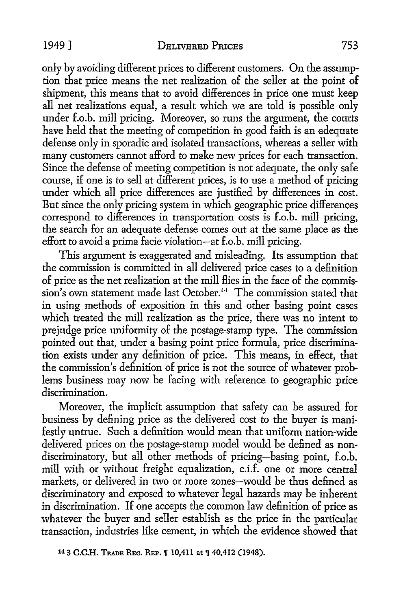only by avoiding different prices to different customers. On the assumption that price means the net realization of the seller at the point of shipment, this means that to avoid differences in price one must keep all net realizations equal, a result which we are told is possible only under f.o.b. mill pricing. Moreover, so runs the argument, the courts have held that the meeting of competition in good faith is an adequate defense only in sporadic and isolated transactions, whereas a seller with many customers cannot afford to make new prices for each transaction. Since the defense of meeting competition is not adequate, the only safe course, if one is to sell at different prices, is to use a method of pricing under which all price differences are justified by differences in cost. But since the only pricing system in which geographic price differences correspond to differences in transportation costs is f.o.b. mill pricing, the search for an adequate defense comes out at the same place as the effort to avoid a prima facie violation-at f.o.b. mill pricing.

This argument is exaggerated and misleading. Its assumption that the commission is committed in all delivered price cases to a definition of price as the net realization at the mill flies in the face of the commission's own statement made last October.<sup>14</sup> The commission stated that in using methods of exposition in this and other basing point cases which treated the mill realization as the price, there was no intent to prejudge price uniformity of the postage-stamp type. The commission pointed out that, under a basing point price formula, price discrimination exists under any definition of price. This means, in effect, that the commission's definition of price is not the source of whatever problems business may now be facing with reference to geographic price discrimination.

Moreover, the implicit assumption that safety can be assured for business by defining price as the delivered cost to the buyer is manifestly untrue. Such a definition would mean that uniform nation-wide delivered prices on the postage-stamp model would be defined as nondiscriminatory, but all other methods of pricing-basing point, f.o.b. mill with or without freight equalization, c.i.f. one or more central markets, or delivered in two or more zones-would be thus defined as discriminatory and exposed to whatever legal hazards may be inherent in discrimination. If one accepts the common law definition of price as whatever the buyer and seller establish as the price in the particular transaction, industries like cement, in which the evidence showed that

<sup>14 3</sup> C.C.H. TRADE REG. REP.  $\parallel$  10,411 at  $\parallel$  40,412 (1948).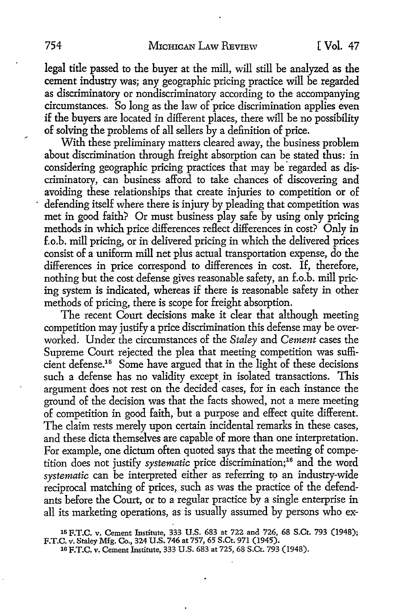legal title passed to the buyer at the mill, will still be analyzed as the cement industry was; any geographic pricing practice will be regarded as discriminatory or nondiscriminatory according to the accompanying circumstances. So long as the law of price discrimination applies even if the buyers are located in different places, there will be no possibility of solving the problems of all sellers by a definition of price.

With these preliminary matters cleared away, the business problem about discrimination through freight absorption can be stated thus: in considering geographic pricing practices that may be regarded as discriminatory, can business afford to take chances of discovering and avoiding these relationships that create injuries to competition or of defending itself where there is injury by pleading that competition was met in good faith? Or must business play safe by using only pricing methods in which price differences reflect differences in cost? Only in f.o.b. mill pricing, or in delivered pricing in which the delivered prices consist of a uniform mill net plus actual transportation expense, do the differences in price correspond to differences in cost. If, therefore, nothing but the cost defense gives reasonable safety, an f.o.b. mill pricing system is indicated, whereas if there is reasonable safety in other methods of pricing, there is scope for freight absorption.

The recent Court decisions make it clear that although meeting competition may justify a price discrimination this defense may be overworked. Under the circumstances of the *Staley* and *Cement* cases the Supreme Court rejected the plea that meeting competition was sufficient defense.15 Some have argued that in the light of these decisions such a defense has no validity except in isolated transactions. This argument does not rest on the decided cases, for in each instance the ground of the decision was that the facts showed, not a mere meeting of competition in good faith, but a purpose and effect quite different. The claim rests merely upon certain incidental remarks in these cases, and these dicta themselves are capable of more than one interpretation. For example, one dictum often quoted says that the meeting of competition does not justify *systematic* price discrimination;<sup>16</sup> and the word systematic can be interpreted either as referring to an industry-wide reciprocal matching of prices, such as was the practice of the defendants before the Court, or to a regular practice by a single enterprise in all its marketing operations, as is usually assumed by persons who ex-

15 F.T.C. v. Cement Institute, 333 U.S. 683 at 722 and 726, 68 S.Ct. 793 (1948); F.T.C. v. Staley Mfg. Co., 324 U.S. 746 at 757, 65 S.Ct. 971 (1945).

1s F.T.C. v. Cement Institute, 333 U.S. 683 at 725, 68 S.Ct. 793 (1948).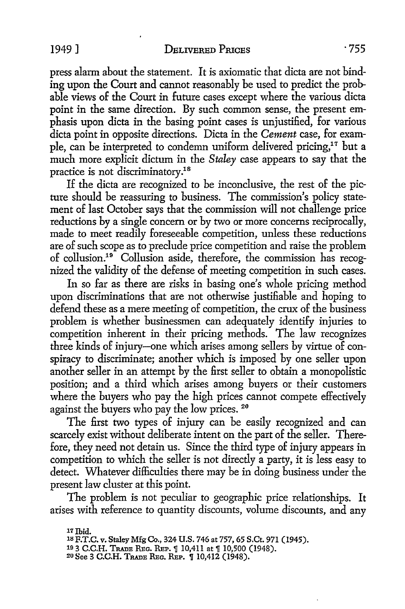press alarm about the statement. It is axiomatic that dicta are not binding upon the Court and cannot reasonably be used to predict the probable views of the Court in future cases except where the various dicta point in the same direction. By such common sense, the present emphasis upon dicta in the basing point cases is unjustified, for various dicta point in opposite directions. Dicta in the *Cement* case, for example, can be interpreted to condemn uniform delivered pricing,<sup>17</sup> but a much more explicit dictum in the *Staley* case appears to say that the practice is not discriminatory.18

If the dicta are recognized to be inconclusive, the rest of the picture should be reassuring to business. The commission's policy statement of last October says that the commission will not challenge price reductions by a single concern or by two or more concerns reciprocally, made to meet readily foreseeable competition, unless these reductions are of such scope as to preclude price competition and raise the problem of collusion.19 Collusion aside, therefore, the commission has recognized the validity of the defense of meeting competition in such cases.

In so far as there are risks in basing one's whole pricing method upon discriminations that are not otherwise justifiable and hoping to defend these as a mere meeting of competition, the crux of the business problem is whether businessmen can adequately identify injuries to competition inherent in their pricing methods. The law recognizes three kinds of injury-one which arises among sellers by virtue of conspiracy to discriminate; another which is imposed by one seller upon another seller in an attempt by the first seller to obtain a monopolistic position; and a third which arises among buyers or their customers where the buyers who pay the high prices cannot compete effectively against the buyers who pay the low prices. 20

The first two types of injury can be easily recognized and can scarcely exist without deliberate intent on the part of the seller. Therefore, they need not detain us. Since the third type of injury appears in competition to which the seller is not directly a party, it is less easy to detect. Whatever difficulties there may be in doing business under the present law cluster at this point.

The problem is not peculiar to geographic price relationships. It arises with reference to quantity discounts, volume discounts, and any

<sup>17</sup> Ibid.

<sup>18</sup> F.T.C. v. Staley Mfg Co., 324 U.S. 746 at 757, 65 S.Ct. 971 (1945).

<sup>19 3</sup> C.C.H. TRADE REG. REP. 1 10,411 at 1 10,500 (1948).

<sup>20</sup> See 3 C.C.H. TRADE REG. REP. 10,412 (1948).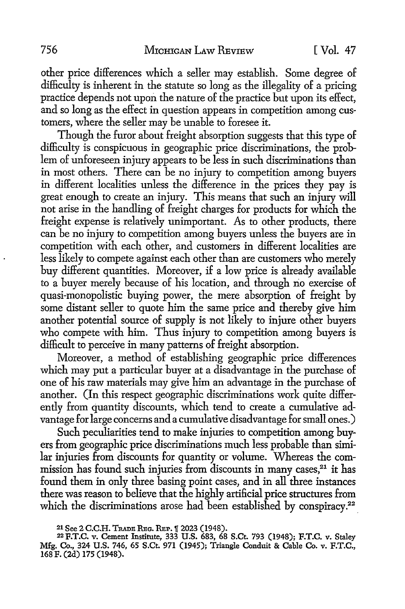other price differences which a seller may establish. Some degree of difficulty is inherent in the statute so long as the illegality of a pricing practice depends not upon the nature of the practice but upon its effect, and so long as the effect in question appears in competition among customers, where the seller may be unable to foresee it.

Though the furor about freight absorption suggests that this type of difficulty is conspicuous in geographic price discriminations, the problem of unforeseen injury appears to be less in such discriminations than in most others. There can be no injury to competition among buyers in different localities unless the difference in the prices they pay is great enough to create an injury. This means that such an injury will not arise in the handling of freight charges for products for which the freight expense is relatively unimportant. As to other products, there can be no injury to competition among buyers unless the buyers are in competition with each other, and customers in different localities are less likely to compete against each other than are customers who merely buy different quantities. Moreover, if a low price is already available to a buyer merely because of his location, and through no exercise of quasi-monopolistic buying power, the mere absorption of freight by some distant seller to quote him the same price and thereby give him another potential source of supply is not likely to injure other buyers who compete with him. Thus injury to competition among buyers is difficult to perceive in many patterns of freight absorption.

Moreover, a method of establishing geographic price differences which may put a particular buyer at a disadvantage in the purchase of one of his raw materials may give him an advantage in the purchase of another. (In this respect geographic discriminations work quite differently from quantity discounts, which tend to create a cumulative advantage for large concerns and a cumulative disadvantage for small ones.)

Such peculiarities tend to make injuries to competition among buyers from geographic price discriminations much less probable than similar injuries from discounts for quantity or volume. Whereas the commission has found such injuries from discounts in many cases,<sup>21</sup> it has found them in only three basing point cases, and in all three instances there was reason to believe that the highly artificial price structures from which the discriminations arose had been established by conspiracy.<sup>22</sup>

<sup>21</sup> See 2 C.C.H. TRADE REG. REP. 1 2023 (1948). 22 F.T.C. v. Staley. 22 F.T.C. v. Staley. 22 F.T.C. v. Staley Mfg. Co., 324 U.S. 746, 65 S.Ct. 971 (1945); Triangle Conduit & Cable Co. v. F.T.C., 168 F. (2d) 175 (1948).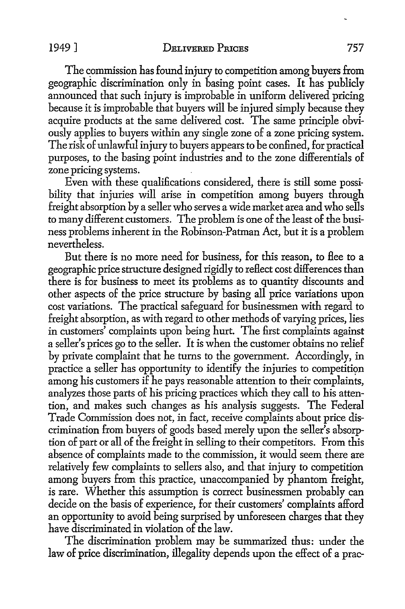The commission has found injury to competition among buyers from geographic discrimination only in basing point cases. It has publicly announced that such injury is improbable in uniform delivered pricing because it is improbable that buyers will be injured simply because they acquire products at the same delivered cost. The same principle obviously applies to buyers within any single zone of a zone pricing system. The risk of unlawful injury to buyers appears to be confined, for practical purposes, to the basing point industries and to the zone differentials of zone pricing systems.

Even with these qualifications considered, there is still some possibility that injuries will arise in competition among buyers through freight absorption by a seller who serves a wide market area and who sells to many different customers. The problem is one of the least of the business problems inherent in the Robinson-Patman Act, but it is a problem nevertheless.

But there is no more need for business, for this reason, to flee to a geographic price structure designed rigidly to reflect cost differences than there is for business to meet its problems as to quantity discounts and other aspects of the price structure by basing all price variations upon cost variations. The practical safeguard for businessmen with regard to freight absorption, as with regard to other methods of varying prices, lies in customers' complaints upon being hurt. The first complaints against a seller's prices go to the seller. It is when the customer obtains no relief by private complaint that he turns to the government. Accordingly, in practice a seller has opportunity to identify the injuries to competition among his customers if he pays reasonable attention to their complaints, analyzes those parts of his pricing practices which they call to his attention, and makes such changes as his analysis suggests. The Federal Trade Commission does not, in fact, receive complaints about price discrimination from buyers of goods based merely upon the seller's absorption of part or all of the freight in selling to their competitors. From this absence of complaints made to the commission, it would seem there are relatively few complaints to sellers also, and that injury to competition among buyers from this practice, unaccompanied by phantom freight, is rare. Whether this assumption is correct businessmen probably can decide on the basis of experience, for their customers' complaints afford an opportunity to avoid being surprised by unforeseen charges that they have discriminated in violation of the law.

The discrimination problem may be summarized thus: under the law of price discrimination, illegality depends upon the effect of a prac-